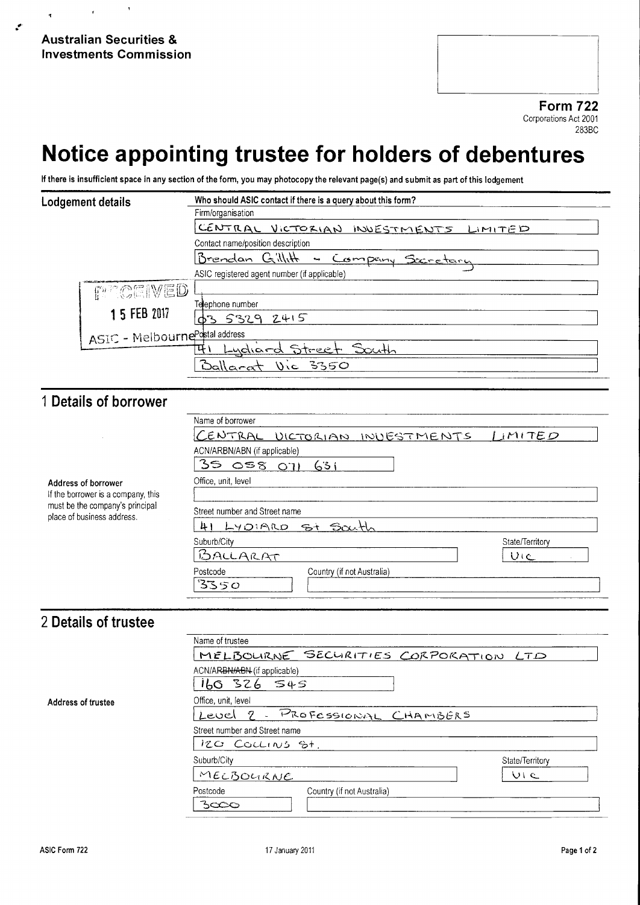# Notice appointing trustee for holders of debentures

If there is insufficient space in any section of the form, you may photocopy the relevant page(s) and submit as part of this lodgement

| Lodgement details               | Who should ASIC contact if there is a query about this form?<br>Firm/organisation |
|---------------------------------|-----------------------------------------------------------------------------------|
|                                 | CENTRAL VICTORIAN INVESTMENTS LIMITED                                             |
|                                 | Contact name/position description                                                 |
|                                 | Brendan Gillith<br>- Company Secretary                                            |
|                                 | ASIC registered agent number (if applicable)                                      |
| <b>FOR CEIVED</b>               |                                                                                   |
| 1 5 FEB 2017                    | Telephone number                                                                  |
|                                 | 03 5329 2415                                                                      |
| ASIC - Melbourne Postal address |                                                                                   |
|                                 | Lydiard Street South                                                              |
|                                 | <u> Ballacat</u><br><b>Vic 3350</b>                                               |

### 1 Details of borrower

|                                                                                                                            | Name of borrower                       |                 |
|----------------------------------------------------------------------------------------------------------------------------|----------------------------------------|-----------------|
| Address of borrower<br>If the borrower is a company, this<br>must be the company's principal<br>place of business address. | CENTRAL VICTORIAN INVESTMENTS          | LIMITED         |
|                                                                                                                            | ACN/ARBN/ABN (if applicable)           |                 |
|                                                                                                                            | 3505801631                             |                 |
|                                                                                                                            | Office, unit, level                    |                 |
|                                                                                                                            | Street number and Street name          |                 |
|                                                                                                                            | LYDIARD St South<br>41                 |                 |
|                                                                                                                            | Suburb/City                            | State/Territory |
|                                                                                                                            | BALLARAT                               | U(c)            |
|                                                                                                                            | Postcode<br>Country (if not Australia) |                 |
|                                                                                                                            | 3350                                   |                 |

### 2 Details of trustee

|                    | Name of trustee                                                |                    |  |
|--------------------|----------------------------------------------------------------|--------------------|--|
|                    | MELBOURNE SECURITIES CORPORATION LTD                           |                    |  |
|                    | ACN/ARBN/ABN (if applicable)<br>160 326<br>545                 |                    |  |
| Address of trustee | Office, unit, level<br>- PROFESSIONAL CHAMBERS<br>-9.<br>Level |                    |  |
|                    | Street number and Street name<br>IZO COLLINS St.               |                    |  |
|                    | Suburb/City                                                    | State/Territory    |  |
|                    | MELBOURNE                                                      | $\cup$ i $\subset$ |  |
|                    | Postcode<br>Country (if not Australia)<br>3000                 |                    |  |